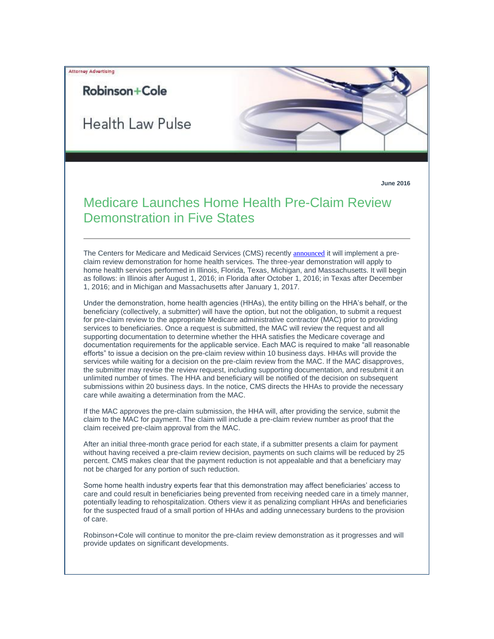Attorney Advertising

## Robinson+Cole

**Health Law Pulse** 

**June 2016**

## Medicare Launches Home Health Pre-Claim Review Demonstration in Five States

The Centers for Medicare and Medicaid Services (CMS) recently [announced](http://t2806904.omkt.co/track.aspx?id=402|2AD478|6F10|54A3|11A3|0|20D2|1|70EF6C56&destination=https%3a%2f%2fwww.gpo.gov%2ffdsys%2fpkg%2fFR-2016-06-10%2fpdf%2f2016-13755.pdf&dchk=C8BEDF) it will implement a preclaim review demonstration for home health services. The three-year demonstration will apply to home health services performed in Illinois, Florida, Texas, Michigan, and Massachusetts. It will begin as follows: in Illinois after August 1, 2016; in Florida after October 1, 2016; in Texas after December 1, 2016; and in Michigan and Massachusetts after January 1, 2017.

Under the demonstration, home health agencies (HHAs), the entity billing on the HHA's behalf, or the beneficiary (collectively, a submitter) will have the option, but not the obligation, to submit a request for pre-claim review to the appropriate Medicare administrative contractor (MAC) prior to providing services to beneficiaries. Once a request is submitted, the MAC will review the request and all supporting documentation to determine whether the HHA satisfies the Medicare coverage and documentation requirements for the applicable service. Each MAC is required to make "all reasonable efforts" to issue a decision on the pre-claim review within 10 business days. HHAs will provide the services while waiting for a decision on the pre-claim review from the MAC. If the MAC disapproves, the submitter may revise the review request, including supporting documentation, and resubmit it an unlimited number of times. The HHA and beneficiary will be notified of the decision on subsequent submissions within 20 business days. In the notice, CMS directs the HHAs to provide the necessary care while awaiting a determination from the MAC.

If the MAC approves the pre-claim submission, the HHA will, after providing the service, submit the claim to the MAC for payment. The claim will include a pre-claim review number as proof that the claim received pre-claim approval from the MAC.

After an initial three-month grace period for each state, if a submitter presents a claim for payment without having received a pre-claim review decision, payments on such claims will be reduced by 25 percent. CMS makes clear that the payment reduction is not appealable and that a beneficiary may not be charged for any portion of such reduction.

Some home health industry experts fear that this demonstration may affect beneficiaries' access to care and could result in beneficiaries being prevented from receiving needed care in a timely manner, potentially leading to rehospitalization. Others view it as penalizing compliant HHAs and beneficiaries for the suspected fraud of a small portion of HHAs and adding unnecessary burdens to the provision of care.

Robinson+Cole will continue to monitor the pre-claim review demonstration as it progresses and will provide updates on significant developments.